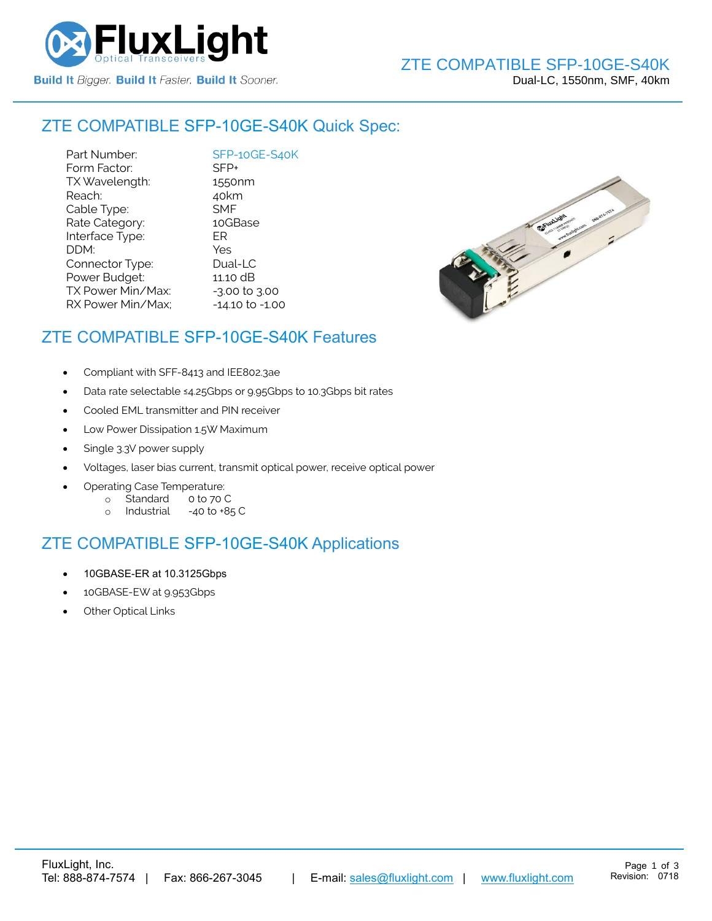

#### ZTE COMPATIBLE [SFP-10GE-S40K](https://www.fluxlight.com/) Quick Spec:

Part Number: [SFP-10GE-S40K](https://www.fluxlight.com/) Form Factor: SFP+ TX Wavelength: 1550nm Reach: 40km Cable Type: SMF Rate Category: 10GBase Interface Type: ER DDM: Yes Connector Type: Dual-LC Power Budget: 11.10 dB  $TX$  Power Min/Max:  $-3.00$  to  $3.00$ RX Power Min/Max; - 14.10 to -1.00



### ZTE COMPATIBLE [SFP-10GE-S40K](https://www.fluxlight.com/) Features

- Compliant with SFF-8413 and IEE802.3ae
- Data rate selectable ≤4.25Gbps or 9.95Gbps to 10.3Gbps bit rates
- Cooled EML transmitter and PIN receiver
- Low Power Dissipation 1.5W Maximum
- Single 3.3V power supply
- Voltages, laser bias current, transmit optical power, receive optical power
- Operating Case Temperature:
	- o Standard 0 to 70 C
	- o Industrial -40 to +85 C

# ZTE COMPATIBLE [SFP-10GE-S40K](https://www.fluxlight.com/) Applications

- 10GBASE-ER at 10.3125Gbps
- 10GBASE-EW at 9.953Gbps
- **Other Optical Links**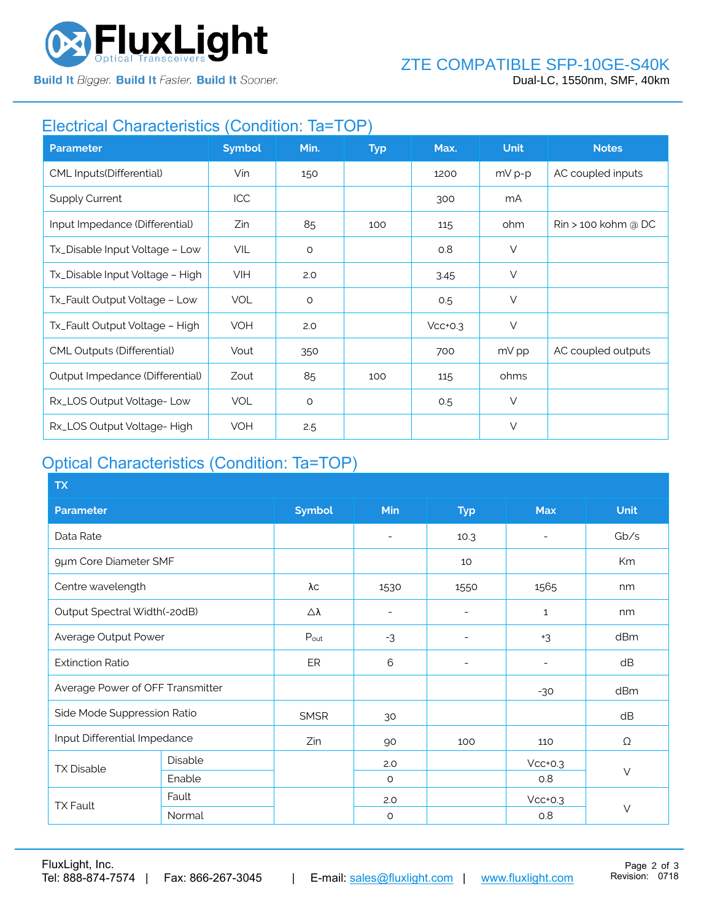

**Build It Bigger. Build It Faster. Build It Sooner.** 

## Electrical Characteristics (Condition: Ta=TOP)

| <b>Parameter</b>                | <b>Symbol</b> | Min.    | <b>Typ</b> | Max.      | <b>Unit</b> | <b>Notes</b>                    |
|---------------------------------|---------------|---------|------------|-----------|-------------|---------------------------------|
| CML Inputs(Differential)        | Vin           | 150     |            | 1200      | $mV p-p$    | AC coupled inputs               |
| <b>Supply Current</b>           | ICC           |         |            | 300       | mA          |                                 |
| Input Impedance (Differential)  | Zin           | 85      | 100        | 115       | ohm         | $\mathsf{R}$ in > 100 kohm @ DC |
| Tx_Disable Input Voltage - Low  | VIL           | $\circ$ |            | 0.8       | $\vee$      |                                 |
| Tx_Disable Input Voltage - High | <b>VIH</b>    | 2.0     |            | 3.45      | $\vee$      |                                 |
| Tx_Fault Output Voltage - Low   | <b>VOL</b>    | $\circ$ |            | 0.5       | $\vee$      |                                 |
| Tx_Fault Output Voltage - High  | <b>VOH</b>    | 2.0     |            | $Vcc+0.3$ | $\vee$      |                                 |
| CML Outputs (Differential)      | Vout          | 350     |            | 700       | mV pp       | AC coupled outputs              |
| Output Impedance (Differential) | Zout          | 85      | 100        | 115       | ohms        |                                 |
| Rx_LOS Output Voltage-Low       | <b>VOL</b>    | $\circ$ |            | 0.5       | $\vee$      |                                 |
| Rx_LOS Output Voltage-High      | <b>VOH</b>    | 2.5     |            |           | $\vee$      |                                 |

# Optical Characteristics (Condition: Ta=TOP)

| <b>TX</b>                        |         |               |                          |                          |              |             |  |
|----------------------------------|---------|---------------|--------------------------|--------------------------|--------------|-------------|--|
| <b>Parameter</b>                 |         | <b>Symbol</b> | Min                      | <b>Typ</b>               | <b>Max</b>   | <b>Unit</b> |  |
| Data Rate                        |         |               | $\overline{\phantom{a}}$ | 10.3                     |              | Gb/s        |  |
| 9µm Core Diameter SMF            |         |               |                          | 10                       |              | Km          |  |
| Centre wavelength                |         | λс            | 1530                     | 1550                     | 1565         | nm          |  |
| Output Spectral Width(-20dB)     |         | Δλ            | $\overline{\phantom{a}}$ | ۰                        | $\mathbf{1}$ | nm          |  |
| Average Output Power             |         | Pout          | $-3$                     | $\overline{\phantom{a}}$ | $+3$         | dBm         |  |
| <b>Extinction Ratio</b>          |         | ER            | 6                        | $\overline{a}$           |              | dB          |  |
| Average Power of OFF Transmitter |         |               |                          |                          | $-30$        | dBm         |  |
| Side Mode Suppression Ratio      |         | <b>SMSR</b>   | 30                       |                          |              | dB          |  |
| Input Differential Impedance     |         | Zin           | 90                       | 100                      | 110          | Ω           |  |
| <b>TX Disable</b>                | Disable |               | 2.0                      |                          | $Vcc+0.3$    | $\vee$      |  |
|                                  | Enable  |               | $\circ$                  |                          | 0.8          |             |  |
| <b>TX Fault</b>                  | Fault   |               | 2.0                      |                          | $Vcc+0.3$    |             |  |
|                                  | Normal  |               | $\circ$                  |                          | 0.8          | $\vee$      |  |